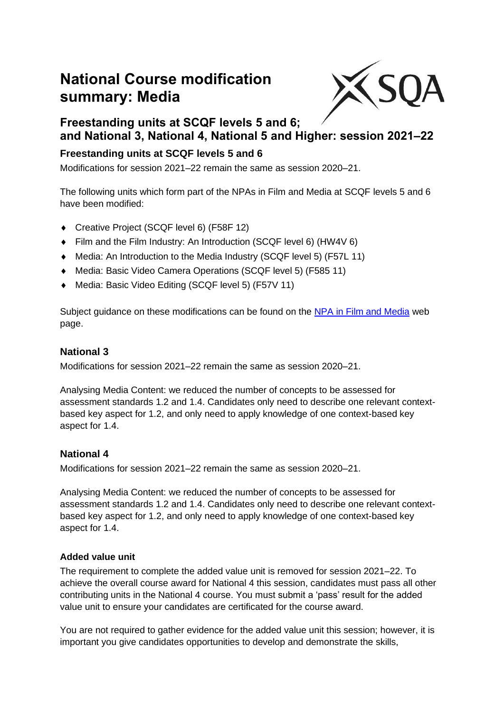# **National Course modification summary: Media**



# **Freestanding units at SCQF levels 5 and 6; and National 3, National 4, National 5 and Higher: session 2021–22**

## **Freestanding units at SCQF levels 5 and 6**

Modifications for session 2021–22 remain the same as session 2020–21.

The following units which form part of the NPAs in Film and Media at SCQF levels 5 and 6 have been modified:

- Creative Project (SCQF level 6) (F58F 12)
- Film and the Film Industry: An Introduction (SCQF level 6) (HW4V 6)
- Media: An Introduction to the Media Industry (SCQF level 5) (F57L 11)
- Media: Basic Video Camera Operations (SCQF level 5) (F585 11)
- ◆ Media: Basic Video Editing (SCQF level 5) (F57V 11)

Subject guidance on these modifications can be found on the [NPA in Film and Media](https://www.sqa.org.uk/sqa/82067.html) web page.

## **National 3**

Modifications for session 2021–22 remain the same as session 2020–21.

Analysing Media Content: we reduced the number of concepts to be assessed for assessment standards 1.2 and 1.4. Candidates only need to describe one relevant contextbased key aspect for 1.2, and only need to apply knowledge of one context-based key aspect for 1.4.

## **National 4**

Modifications for session 2021–22 remain the same as session 2020–21.

Analysing Media Content: we reduced the number of concepts to be assessed for assessment standards 1.2 and 1.4. Candidates only need to describe one relevant contextbased key aspect for 1.2, and only need to apply knowledge of one context-based key aspect for 1.4.

#### **Added value unit**

The requirement to complete the added value unit is removed for session 2021–22. To achieve the overall course award for National 4 this session, candidates must pass all other contributing units in the National 4 course. You must submit a 'pass' result for the added value unit to ensure your candidates are certificated for the course award.

You are not required to gather evidence for the added value unit this session; however, it is important you give candidates opportunities to develop and demonstrate the skills,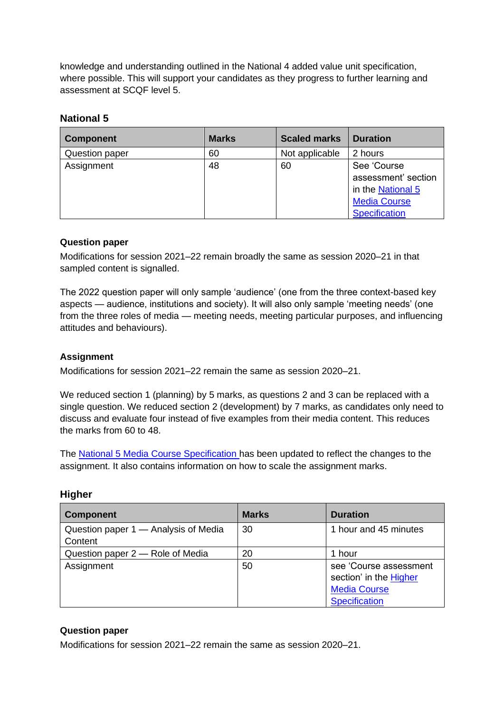knowledge and understanding outlined in the National 4 added value unit specification, where possible. This will support your candidates as they progress to further learning and assessment at SCQF level 5.

#### **National 5**

| <b>Component</b> | <b>Marks</b> | <b>Scaled marks</b> | <b>Duration</b>      |
|------------------|--------------|---------------------|----------------------|
| Question paper   | 60           | Not applicable      | 2 hours              |
| Assignment       | 48           | 60                  | See 'Course          |
|                  |              |                     | assessment' section  |
|                  |              |                     | in the National 5    |
|                  |              |                     | <b>Media Course</b>  |
|                  |              |                     | <b>Specification</b> |

#### **Question paper**

Modifications for session 2021–22 remain broadly the same as session 2020–21 in that sampled content is signalled.

The 2022 question paper will only sample 'audience' (one from the three context-based key aspects — audience, institutions and society). It will also only sample 'meeting needs' (one from the three roles of media — meeting needs, meeting particular purposes, and influencing attitudes and behaviours).

#### **Assignment**

Modifications for session 2021–22 remain the same as session 2020–21.

We reduced section 1 (planning) by 5 marks, as questions 2 and 3 can be replaced with a single question. We reduced section 2 (development) by 7 marks, as candidates only need to discuss and evaluate four instead of five examples from their media content. This reduces the marks from 60 to 48.

The National 5 [Media Course Specification](https://www.sqa.org.uk/sqa/47414.html) has been updated to reflect the changes to the assignment. It also contains information on how to scale the assignment marks.

| <b>Component</b>                                | <b>Marks</b> | <b>Duration</b>        |
|-------------------------------------------------|--------------|------------------------|
| Question paper 1 - Analysis of Media<br>Content | 30           | 1 hour and 45 minutes  |
| Question paper 2 – Role of Media                | 20           | 1 hour                 |
| Assignment                                      | 50           | see 'Course assessment |
|                                                 |              | section' in the Higher |
|                                                 |              | <b>Media Course</b>    |
|                                                 |              | <b>Specification</b>   |

#### **Higher**

#### **Question paper**

Modifications for session 2021–22 remain the same as session 2020–21.